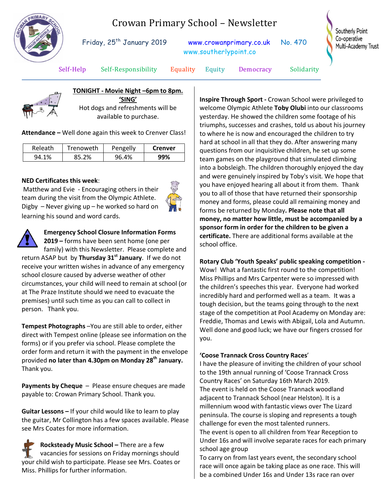# Crowan Primary School – Newsletter



Friday, 25<sup>th</sup> January 2019 [www.crowanprimary.co.uk](http://www.crowanprimary.co.uk/) No. 470 www.southerlypoint.co

Southerly Point Co-operative Multi-Academy Trust

Self-Help Self-Responsibility Equality Equity Democracy Solidarity

**TONIGHT - Movie Night –6pm to 8pm. 'SING'** Hot dogs and refreshments will be

available to purchase.

**Attendance –** Well done again this week to Crenver Class!

| Releath    | Trenoweth | Pengelly | <b>Crenver</b> |
|------------|-----------|----------|----------------|
| 1%<br>94.1 | 85.2%     | 96.4%    | 99%            |

#### **NED Certificates this week**:

Matthew and Evie - Encouraging others in their team during the visit from the Olympic Athlete. Digby – Never giving up – he worked so hard on learning his sound and word cards.





**Emergency School Closure Information Forms** 

**2019 –** forms have been sent home (one per family) with this Newsletter. Please complete and return ASAP but by **Thursday 31st January**. If we do not receive your written wishes in advance of any emergency school closure caused by adverse weather of other circumstances, your child will need to remain at school (or at The Praze Institute should we need to evacuate the premises) until such time as you can call to collect in person. Thank you.

**Tempest Photographs** –You are still able to order, either direct with Tempest online (please see information on the forms) or if you prefer via school. Please complete the order form and return it with the payment in the envelope provided **no later than 4.30pm on Monday 28th January.** Thank you.

**Payments by Cheque** – Please ensure cheques are made payable to: Crowan Primary School. Thank you.

**Guitar Lessons –** If your child would like to learn to play the guitar, Mr Collington has a few spaces available. Please see Mrs Coates for more information.

**Rocksteady Music School –** There are a few vacancies for sessions on Friday mornings should your child wish to participate. Please see Mrs. Coates or Miss. Phillips for further information.

**Inspire Through Sport -** Crowan School were privileged to welcome Olympic Athlete **Toby Olubi** into our classrooms yesterday. He showed the children some footage of his triumphs, successes and crashes, told us about his journey to where he is now and encouraged the children to try hard at school in all that they do. After answering many questions from our inquisitive children, he set up some team games on the playground that simulated climbing into a bobsleigh. The children thoroughly enjoyed the day and were genuinely inspired by Toby's visit. We hope that you have enjoyed hearing all about it from them. Thank you to all of those that have returned their sponsorship money and forms, please could all remaining money and forms be returned by Monday**. Please note that all money, no matter how little, must be accompanied by a sponsor form in order for the children to be given a certificate.** There are additional forms available at the school office.

### **Rotary Club 'Youth Speaks' public speaking competition -**

Wow! What a fantastic first round to the competition! Miss Phillips and Mrs Carpenter were so impressed with the children's speeches this year. Everyone had worked incredibly hard and performed well as a team. It was a tough decision, but the teams going through to the next stage of the competition at Pool Academy on Monday are: Freddie, Thomas and Lewis with Abigail, Lola and Autumn. Well done and good luck; we have our fingers crossed for you.

### **'Coose Trannack Cross Country Races**'

I have the pleasure of inviting the children of your school to the 19th annual running of 'Coose Trannack Cross Country Races' on Saturday 16th March 2019. The event is held on the Coose Trannack woodland adjacent to Trannack School (near Helston). It is a millennium wood with fantastic views over The Lizard peninsula. The course is sloping and represents a tough challenge for even the most talented runners. The event is open to all children from Year Reception to Under 16s and will involve separate races for each primary school age group

To carry on from last years event, the secondary school race will once again be taking place as one race. This will be a combined Under 16s and Under 13s race ran over